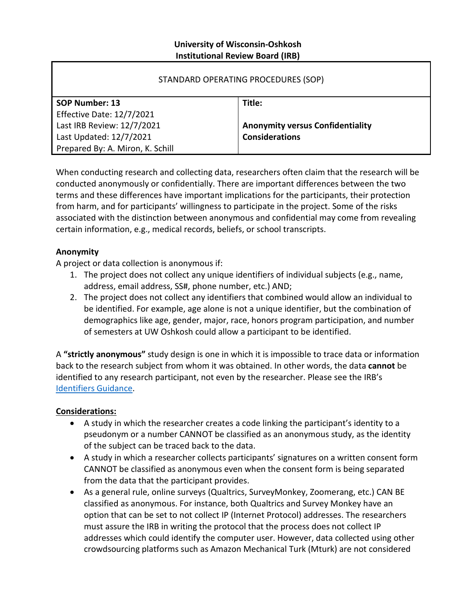### **University of Wisconsin-Oshkosh Institutional Review Board (IRB)**

| STANDARD OPERATING PROCEDURES (SOP) |                                         |
|-------------------------------------|-----------------------------------------|
| SOP Number: 13                      | Title:                                  |
| Effective Date: 12/7/2021           |                                         |
| Last IRB Review: 12/7/2021          | <b>Anonymity versus Confidentiality</b> |
| Last Updated: 12/7/2021             | <b>Considerations</b>                   |
| Prepared By: A. Miron, K. Schill    |                                         |

When conducting research and collecting data, researchers often claim that the research will be conducted anonymously or confidentially. There are important differences between the two terms and these differences have important implications for the participants, their protection from harm, and for participants' willingness to participate in the project. Some of the risks associated with the distinction between anonymous and confidential may come from revealing certain information, e.g., medical records, beliefs, or school transcripts.

# **Anonymity**

A project or data collection is anonymous if:

- 1. The project does not collect any unique identifiers of individual subjects (e.g., name, address, email address, SS#, phone number, etc.) AND;
- 2. The project does not collect any identifiers that combined would allow an individual to be identified. For example, age alone is not a unique identifier, but the combination of demographics like age, gender, major, race, honors program participation, and number of semesters at UW Oshkosh could allow a participant to be identified.

A **"strictly anonymous"** study design is one in which it is impossible to trace data or information back to the research subject from whom it was obtained. In other words, the data **cannot** be identified to any research participant, not even by the researcher. Please see the IRB's [Identifiers Guidance.](https://uwosh.edu/sponsoredprograms/wp-content/uploads/sites/29/2019/03/Identifiers-Guidance-3-26-19.pdf)

#### **Considerations:**

- A study in which the researcher creates a code linking the participant's identity to a pseudonym or a number CANNOT be classified as an anonymous study, as the identity of the subject can be traced back to the data.
- A study in which a researcher collects participants' signatures on a written consent form CANNOT be classified as anonymous even when the consent form is being separated from the data that the participant provides.
- As a general rule, online surveys (Qualtrics, SurveyMonkey, Zoomerang, etc.) CAN BE classified as anonymous. For instance, both Qualtrics and Survey Monkey have an option that can be set to not collect IP (Internet Protocol) addresses. The researchers must assure the IRB in writing the protocol that the process does not collect IP addresses which could identify the computer user. However, data collected using other crowdsourcing platforms such as Amazon Mechanical Turk (Mturk) are not considered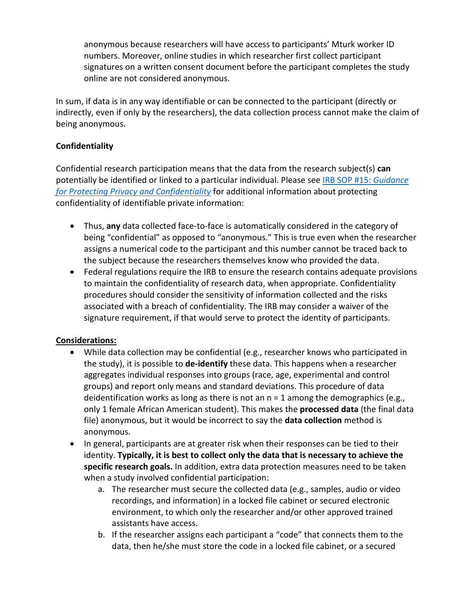anonymous because researchers will have access to participants' Mturk worker ID numbers. Moreover, online studies in which researcher first collect participant signatures on a written consent document before the participant completes the study online are not considered anonymous.

In sum, if data is in any way identifiable or can be connected to the participant (directly or indirectly, even if only by the researchers), the data collection process cannot make the claim of being anonymous.

# **Confidentiality**

Confidential research participation means that the data from the research subject(s) **can**  potentially be identified or linked to a particular individual. Please see IRB SOP #15: *[Guidance](https://uwosh.edu/sponsoredprograms/irb/sops/)  [for Protecting Privacy and Confidentiality](https://uwosh.edu/sponsoredprograms/irb/sops/)* for additional information about protecting confidentiality of identifiable private information:

- Thus, **any** data collected face-to-face is automatically considered in the category of being "confidential" as opposed to "anonymous." This is true even when the researcher assigns a numerical code to the participant and this number cannot be traced back to the subject because the researchers themselves know who provided the data.
- Federal regulations require the IRB to ensure the research contains adequate provisions to maintain the confidentiality of research data, when appropriate. Confidentiality procedures should consider the sensitivity of information collected and the risks associated with a breach of confidentiality. The IRB may consider a waiver of the signature requirement, if that would serve to protect the identity of participants.

# **Considerations:**

- While data collection may be confidential (e.g., researcher knows who participated in the study), it is possible to **de-identify** these data. This happens when a researcher aggregates individual responses into groups (race, age, experimental and control groups) and report only means and standard deviations. This procedure of data deidentification works as long as there is not an  $n = 1$  among the demographics (e.g., only 1 female African American student). This makes the **processed data** (the final data file) anonymous, but it would be incorrect to say the **data collection** method is anonymous.
- In general, participants are at greater risk when their responses can be tied to their identity. **Typically, it is best to collect only the data that is necessary to achieve the specific research goals.** In addition, extra data protection measures need to be taken when a study involved confidential participation:
	- a. The researcher must secure the collected data (e.g., samples, audio or video recordings, and information) in a locked file cabinet or secured electronic environment, to which only the researcher and/or other approved trained assistants have access.
	- b. If the researcher assigns each participant a "code" that connects them to the data, then he/she must store the code in a locked file cabinet, or a secured